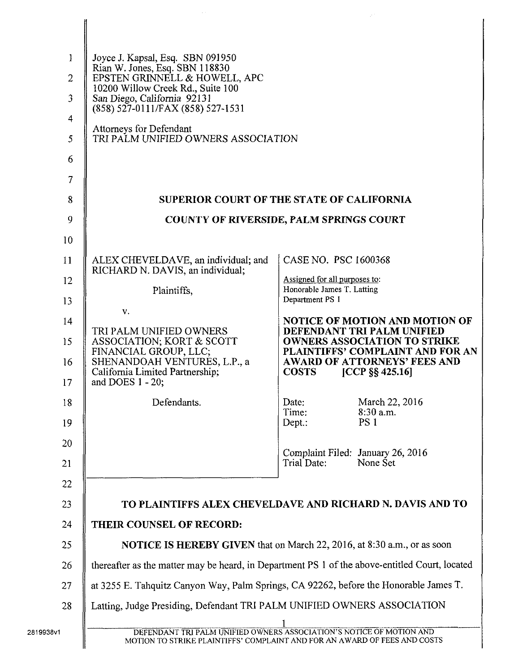| $\mathbf{1}$<br>$\overline{2}$<br>$\overline{\mathbf{3}}$<br>$\overline{4}$<br>5<br>6<br>7 | Joyce J. Kapsal, Esq. SBN 091950<br>Rian W. Jones, Esq. SBN 118830<br>EPSTEN GRINNELL & HOWELL, APC<br>10200 Willow Creek Rd., Suite 100<br>San Diego, California 92131<br>(858) 527-0111/FAX (858) 527-1531<br>Attorneys for Defendant<br>TRI PALM UNIFIED OWNERS ASSOCIATION |                                                             |                                                                         |
|--------------------------------------------------------------------------------------------|--------------------------------------------------------------------------------------------------------------------------------------------------------------------------------------------------------------------------------------------------------------------------------|-------------------------------------------------------------|-------------------------------------------------------------------------|
| 8                                                                                          | <b>SUPERIOR COURT OF THE STATE OF CALIFORNIA</b>                                                                                                                                                                                                                               |                                                             |                                                                         |
| 9                                                                                          | <b>COUNTY OF RIVERSIDE, PALM SPRINGS COURT</b>                                                                                                                                                                                                                                 |                                                             |                                                                         |
| 10                                                                                         |                                                                                                                                                                                                                                                                                |                                                             |                                                                         |
| 11                                                                                         | ALEX CHEVELDAVE, an individual; and<br>RICHARD N. DAVIS, an individual;                                                                                                                                                                                                        | CASE NO. PSC 1600368                                        |                                                                         |
| 12                                                                                         | Plaintiffs,                                                                                                                                                                                                                                                                    | Assigned for all purposes to:<br>Honorable James T. Latting |                                                                         |
| 13                                                                                         | V.                                                                                                                                                                                                                                                                             | Department PS 1                                             |                                                                         |
| 14                                                                                         | TRI PALM UNIFIED OWNERS                                                                                                                                                                                                                                                        |                                                             | <b>NOTICE OF MOTION AND MOTION OF</b><br>DEFENDANT TRI PALM UNIFIED     |
| 15                                                                                         | ASSOCIATION; KORT & SCOTT<br>FINANCIAL GROUP, LLC;                                                                                                                                                                                                                             |                                                             | <b>OWNERS ASSOCIATION TO STRIKE</b><br>PLAINTIFFS' COMPLAINT AND FOR AN |
| 16<br>17                                                                                   | SHENANDOAH VENTURES, L.P., a<br>California Limited Partnership;<br>and DOES 1 - 20;                                                                                                                                                                                            | <b>COSTS</b>                                                | <b>AWARD OF ATTORNEYS' FEES AND</b><br>[CCP $\S\S 425.16$ ]             |
| 18                                                                                         | Defendants.                                                                                                                                                                                                                                                                    | Date:<br>Time:                                              | March 22, 2016<br>$8:30$ a.m.                                           |
| 19                                                                                         |                                                                                                                                                                                                                                                                                | $Dep.$ :                                                    | PS <sub>1</sub>                                                         |
| 20                                                                                         |                                                                                                                                                                                                                                                                                | Complaint Filed: January 26, 2016                           |                                                                         |
| 21                                                                                         |                                                                                                                                                                                                                                                                                | Trial Date:                                                 | None Set                                                                |
| 22                                                                                         |                                                                                                                                                                                                                                                                                |                                                             |                                                                         |
| 23                                                                                         | TO PLAINTIFFS ALEX CHEVELDAVE AND RICHARD N. DAVIS AND TO                                                                                                                                                                                                                      |                                                             |                                                                         |
| 24                                                                                         | THEIR COUNSEL OF RECORD:                                                                                                                                                                                                                                                       |                                                             |                                                                         |
| 25                                                                                         | <b>NOTICE IS HEREBY GIVEN</b> that on March 22, 2016, at 8:30 a.m., or as soon                                                                                                                                                                                                 |                                                             |                                                                         |
| 26                                                                                         | thereafter as the matter may be heard, in Department PS 1 of the above-entitled Court, located                                                                                                                                                                                 |                                                             |                                                                         |
| 27<br>28                                                                                   | at 3255 E. Tahquitz Canyon Way, Palm Springs, CA 92262, before the Honorable James T.<br>Latting, Judge Presiding, Defendant TRI PALM UNIFIED OWNERS ASSOCIATION                                                                                                               |                                                             |                                                                         |
|                                                                                            |                                                                                                                                                                                                                                                                                |                                                             |                                                                         |
| 2819938v1                                                                                  | DEFENDANT TRI PALM UNIFIED OWNERS ASSOCIATION'S NOTICE OF MOTION AND<br>MOTION TO STRIKE PLAINTIFFS' COMPLAINT AND FOR AN AWARD OF FEES AND COSTS                                                                                                                              |                                                             |                                                                         |